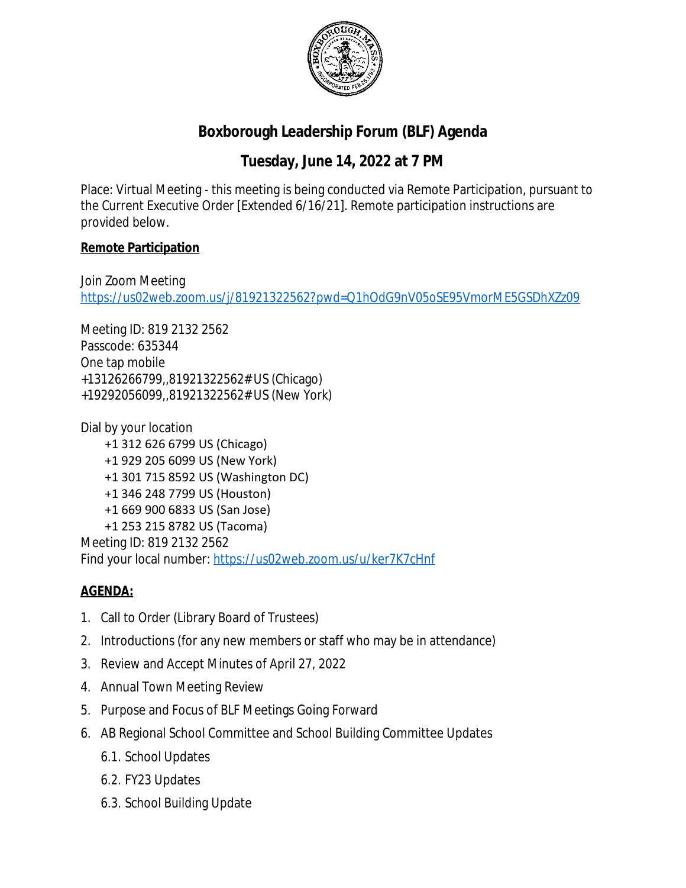

## **Boxborough Leadership Forum (BLF) Agenda**

## **Tuesday, June 14, 2022 at 7 PM**

Place: Virtual Meeting - this meeting is being conducted via Remote Participation, pursuant to the Current Executive Order [Extended 6/16/21]. Remote participation instructions are provided below.

## **Remote Participation**

Join Zoom Meeting <https://us02web.zoom.us/j/81921322562?pwd=Q1hOdG9nV05oSE95VmorME5GSDhXZz09>

Meeting ID: 819 2132 2562 Passcode: 635344 One tap mobile +13126266799,,81921322562# US (Chicago) +19292056099,,81921322562# US (New York)

Dial by your location +1 312 626 6799 US (Chicago) +1 929 205 6099 US (New York) +1 301 715 8592 US (Washington DC) +1 346 248 7799 US (Houston) +1 669 900 6833 US (San Jose) +1 253 215 8782 US (Tacoma) Meeting ID: 819 2132 2562

Find your local number:<https://us02web.zoom.us/u/ker7K7cHnf>

## **AGENDA:**

- 1. Call to Order (Library Board of Trustees)
- 2. Introductions (for any new members or staff who may be in attendance)
- 3. Review and Accept Minutes of April 27, 2022
- 4. Annual Town Meeting Review
- 5. Purpose and Focus of BLF Meetings Going Forward
- 6. AB Regional School Committee and School Building Committee Updates
	- 6.1. School Updates
	- 6.2. FY23 Updates
	- 6.3. School Building Update